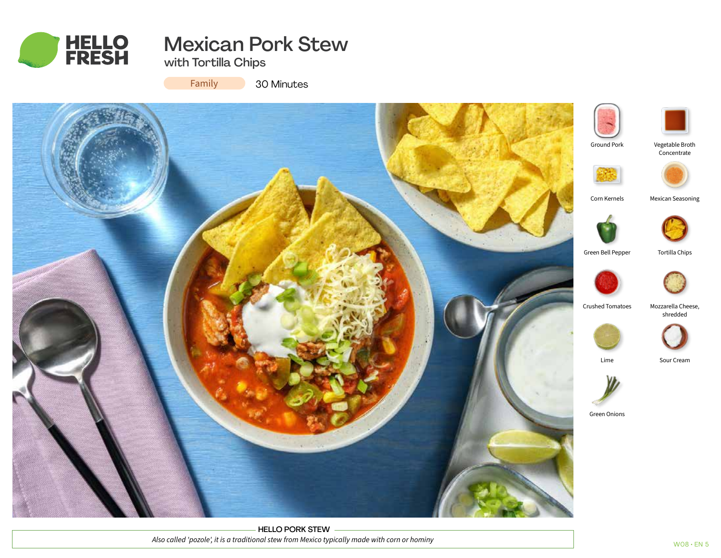

# Mexican Pork Stew

with Tortilla Chips

Family

30 Minutes



HELLO PORK STEW *Also called 'pozole', it is a traditional stew from Mexico typically made with corn or hominy*